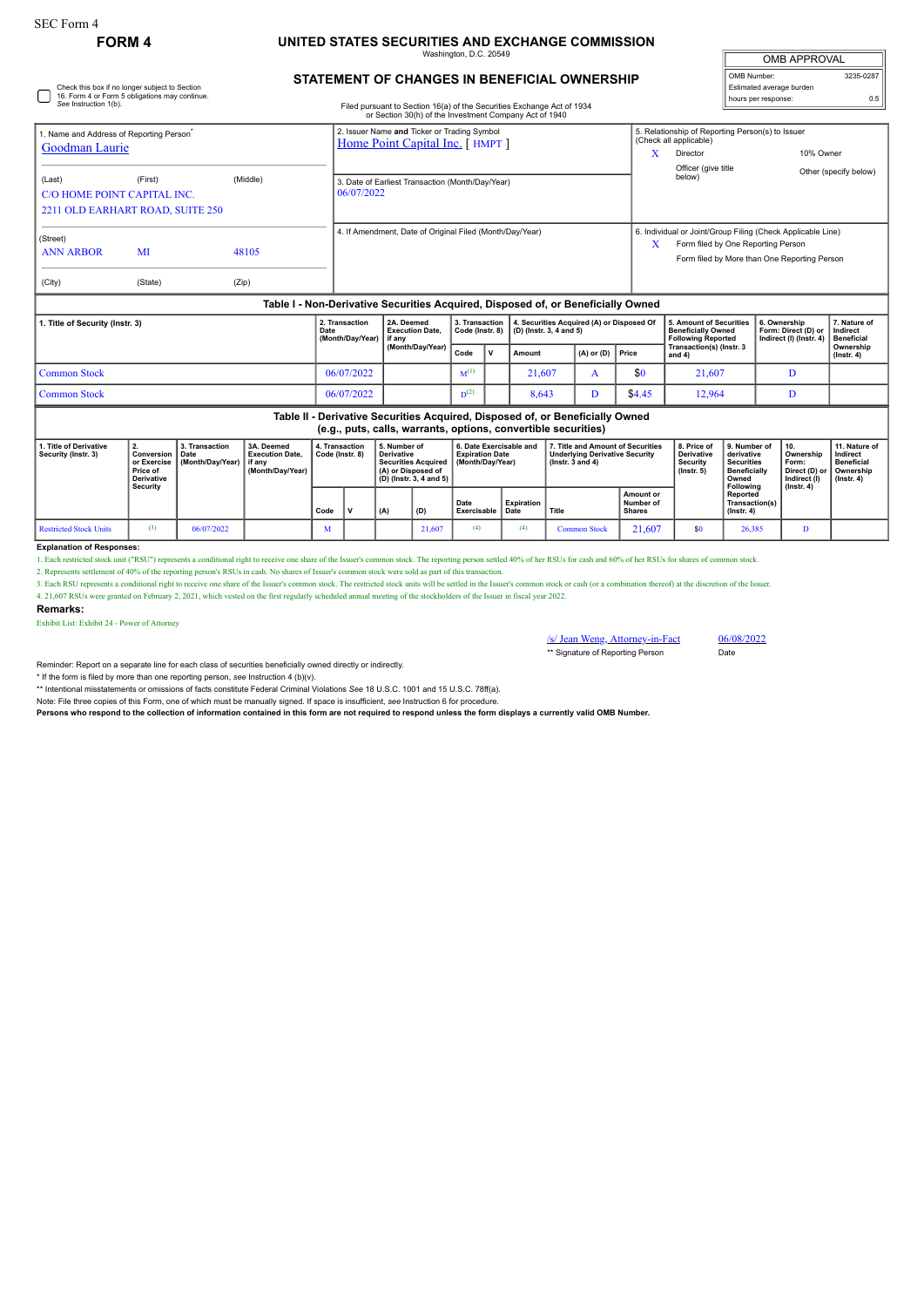## **FORM 4 UNITED STATES SECURITIES AND EXCHANGE COMMISSION**

Washington, D.C. 20549

| <b>OMB APPROVAL</b>      |           |  |  |  |  |  |  |  |  |
|--------------------------|-----------|--|--|--|--|--|--|--|--|
| OMB Number:              | 3235-0287 |  |  |  |  |  |  |  |  |
| Estimated average burden |           |  |  |  |  |  |  |  |  |
| hours per response:      | 0.5       |  |  |  |  |  |  |  |  |

# Check this box if no longer subject to Section 16. Form 4 or Form 5 obligations may continue. *See* Instruction 1(b).

## **STATEMENT OF CHANGES IN BENEFICIAL OWNERSHIP**

Filed pursuant to Section 16(a) of the Securities Exchange Act of 1934 or Section 30(h) of the Investment Company Act of 1940

| or occasion both) or are investment company not or 1940                          |                                             |                |                                                                               |   |                                                                                                                                                   |                       |  |  |  |  |
|----------------------------------------------------------------------------------|---------------------------------------------|----------------|-------------------------------------------------------------------------------|---|---------------------------------------------------------------------------------------------------------------------------------------------------|-----------------------|--|--|--|--|
| Name and Address of Reporting Person<br>Goodman Laurie                           |                                             |                | 2. Issuer Name and Ticker or Trading Symbol<br>Home Point Capital Inc. [HMPT] |   | 5. Relationship of Reporting Person(s) to Issuer<br>(Check all applicable)<br>Director                                                            | 10% Owner             |  |  |  |  |
| (Last)<br>C/O HOME POINT CAPITAL INC.                                            | (First)<br>2211 OLD EARHART ROAD, SUITE 250 | (Middle)       | 3. Date of Earliest Transaction (Month/Day/Year)<br>06/07/2022                |   | Officer (give title<br>below)                                                                                                                     | Other (specify below) |  |  |  |  |
| (Street)<br><b>ANN ARBOR</b><br>(City)                                           | MI<br>(State)                               | 48105<br>(Zip) | 4. If Amendment, Date of Original Filed (Month/Day/Year)                      | X | 6. Individual or Joint/Group Filing (Check Applicable Line)<br>Form filed by One Reporting Person<br>Form filed by More than One Reporting Person |                       |  |  |  |  |
| Table I - Non-Derivative Securities Acquired. Disposed of, or Beneficially Owned |                                             |                |                                                                               |   |                                                                                                                                                   |                       |  |  |  |  |

| 1. Title of Security (Instr. 3) | 2. Transaction<br>Date<br>(Month/Dav/Year) | 2A. Deemed<br><b>Execution Date.</b><br>l if anv<br>(Month/Dav/Year) |           |              | 3. Transaction   4. Securities Acquired (A) or Disposed Of<br>Code (Instr. 8) $\vert$ (D) (Instr. 3, 4 and 5) |                      |        | 5. Amount of Securities<br><b>Beneficially Owned</b><br><b>Following Reported</b> | 6. Ownership<br>Form: Direct (D) or   Indirect<br>Indirect (I) (Instr. 4) | 7. Nature of<br><b>Beneficial</b> |
|---------------------------------|--------------------------------------------|----------------------------------------------------------------------|-----------|--------------|---------------------------------------------------------------------------------------------------------------|----------------------|--------|-----------------------------------------------------------------------------------|---------------------------------------------------------------------------|-----------------------------------|
|                                 |                                            |                                                                      | Code      | $\mathbf{v}$ | Amount                                                                                                        | $(A)$ or $(D)$ Price |        | Transaction(s) (Instr. 3<br>and 4                                                 |                                                                           | Ownership<br>$($ lnstr $, 4)$     |
| Common Stock                    | 06/07/2022                                 |                                                                      | $M^{(1)}$ |              | 21.607                                                                                                        |                      | \$0    | 21.607                                                                            |                                                                           |                                   |
| Common Stock                    | 06/07/2022                                 |                                                                      | $D^{(2)}$ |              | 8,643                                                                                                         |                      | \$4.45 | 12,964                                                                            |                                                                           |                                   |

| Table II - Derivative Securities Acquired, Disposed of, or Beneficially Owned<br>(e.g., puts, calls, warrants, options, convertible securities) |                                                                               |                                              |                                                                    |                                   |  |                                   |                                                                                                                                                      |                     |                    |                                                                                                      |                                                |                                                                         |                                                                                              |                                                                                            |                                                              |
|-------------------------------------------------------------------------------------------------------------------------------------------------|-------------------------------------------------------------------------------|----------------------------------------------|--------------------------------------------------------------------|-----------------------------------|--|-----------------------------------|------------------------------------------------------------------------------------------------------------------------------------------------------|---------------------|--------------------|------------------------------------------------------------------------------------------------------|------------------------------------------------|-------------------------------------------------------------------------|----------------------------------------------------------------------------------------------|--------------------------------------------------------------------------------------------|--------------------------------------------------------------|
| 1. Title of Derivative<br>Security (Instr. 3)                                                                                                   | Conversion<br>or Exercise<br><b>Price of</b><br><b>Derivative</b><br>Security | 3. Transaction<br>l Date<br>(Month/Dav/Year) | 3A. Deemed<br><b>Execution Date.</b><br>if any<br>(Month/Dav/Year) | 4. Transaction<br>Code (Instr. 8) |  | 5. Number of<br><b>Derivative</b> | 6. Date Exercisable and<br><b>Expiration Date</b><br><b>Securities Acquired</b><br>(Month/Dav/Year)<br>(A) or Disposed of<br>(D) (Instr. 3, 4 and 5) |                     |                    | 7. Title and Amount of Securities<br><b>Underlying Derivative Security</b><br>$($ lnstr. 3 and 4 $)$ |                                                | 8. Price of<br><b>Derivative</b><br><b>Security</b><br>$($ lnstr. 5 $)$ | 9. Number of<br>derivative<br><b>Securities</b><br><b>Beneficially</b><br>Owned<br>Following | 10.<br>Ownership<br>Form:<br>Direct (D) or   Ownership<br>Indirect (I)<br>$($ lnstr. 4 $)$ | 11. Nature of<br>Indirect<br><b>Beneficial</b><br>(Instr. 4) |
|                                                                                                                                                 |                                                                               |                                              |                                                                    | Code                              |  | (A)                               | (D)                                                                                                                                                  | Date<br>Exercisable | Expiration<br>Date | Title                                                                                                | <b>Amount or</b><br>Number of<br><b>Shares</b> |                                                                         | Reported<br>Transaction(s)<br>$($ lnstr. 4 $)$                                               |                                                                                            |                                                              |
| <b>Restricted Stock Units</b>                                                                                                                   | (3)                                                                           | 06/07/2022                                   |                                                                    | M                                 |  |                                   | 21,607                                                                                                                                               | (4)                 | (4)                | <b>Common Stock</b>                                                                                  | 21.607                                         | \$0                                                                     | 26,385                                                                                       |                                                                                            |                                                              |

#### **Explanation of Responses:**

1. Each restricted stock unit ("RSU") represents a conditional right to receive one share of the Issuer's common stock. The reporting person settled 40% of her RSUs for cash and 60% of her RSUs for shares of common stock.

2. Represents settlement of 40% of the reporting person's RSUs in cash. No shares of Issuer's common stock were sold as part of this transaction.

3. Each RSU represents a conditional right to receive one share of the Issuer's common stock. The restricted stock units will be settled in the Issuer's common stock or ash (or a combination thereof) at the discretion of t 4. 21,607 RSUs were granted on February 2, 2021, which vested on the first regularly scheduled annual meeting of the stockholders of the Issuer in fiscal year 2022.

### **Remarks:**

Exhibit List: Exhibit 24 - Power of Attorney

/s/ Jean Weng, Attorney-in-Fact 06/08/2022 \*\* Signature of Reporting Person Date

Reminder: Report on a separate line for each class of securities beneficially owned directly or indirectly.

\* If the form is filed by more than one reporting person, *see* Instruction 4 (b)(v).

\*\* Intentional misstatements or omissions of facts constitute Federal Criminal Violations *See* 18 U.S.C. 1001 and 15 U.S.C. 78ff(a).

Note: File three copies of this Form, one of which must be manually signed. If space is insufficient, *see* Instruction 6 for procedure.

**Persons who respond to the collection of information contained in this form are not required to respond unless the form displays a currently valid OMB Number.**